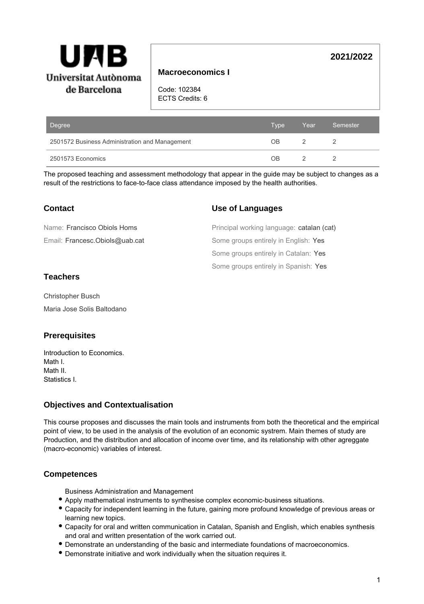

## **Macroeconomics I**

Code: 102384 ECTS Credits: 6

| Degree                                         | <b>Type</b> | Year | Semester |
|------------------------------------------------|-------------|------|----------|
| 2501572 Business Administration and Management | ΟB          |      |          |
| 2501573 Economics                              | ΩR          |      |          |

The proposed teaching and assessment methodology that appear in the guide may be subject to changes as a result of the restrictions to face-to-face class attendance imposed by the health authorities.

# **Contact**

# Email: Francesc.Obiols@uab.cat Name: Francisco Obiols Homs

# **Use of Languages**

Some groups entirely in Spanish: Yes Some groups entirely in Catalan: Yes Some groups entirely in English: Yes Principal working language: catalan (cat)

**2021/2022**

# **Teachers**

Christopher Busch Maria Jose Solis Baltodano

# **Prerequisites**

Introduction to Economics. Math I. Math II. Statistics I.

# **Objectives and Contextualisation**

This course proposes and discusses the main tools and instruments from both the theoretical and the empirical point of view, to be used in the analysis of the evolution of an economic systrem. Main themes of study are Production, and the distribution and allocation of income over time, and its relationship with other agreggate (macro-economic) variables of interest.

# **Competences**

Business Administration and Management

- Apply mathematical instruments to synthesise complex economic-business situations.
- Capacity for independent learning in the future, gaining more profound knowledge of previous areas or learning new topics.
- Capacity for oral and written communication in Catalan, Spanish and English, which enables synthesis and oral and written presentation of the work carried out.
- Demonstrate an understanding of the basic and intermediate foundations of macroeconomics.
- Demonstrate initiative and work individually when the situation requires it.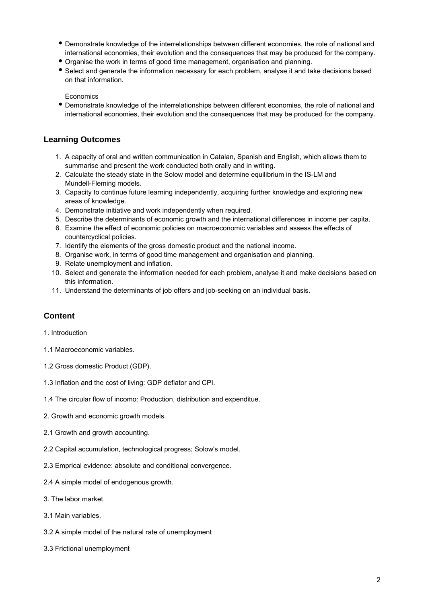- Demonstrate knowledge of the interrelationships between different economies, the role of national and international economies, their evolution and the consequences that may be produced for the company.
- Organise the work in terms of good time management, organisation and planning.
- Select and generate the information necessary for each problem, analyse it and take decisions based on that information.

**Economics** 

Demonstrate knowledge of the interrelationships between different economies, the role of national and international economies, their evolution and the consequences that may be produced for the company.

## **Learning Outcomes**

- 1. A capacity of oral and written communication in Catalan, Spanish and English, which allows them to summarise and present the work conducted both orally and in writing.
- 2. Calculate the steady state in the Solow model and determine equilibrium in the IS-LM and Mundell-Fleming models.
- 3. Capacity to continue future learning independently, acquiring further knowledge and exploring new areas of knowledge.
- 4. Demonstrate initiative and work independently when required.
- 5. Describe the determinants of economic growth and the international differences in income per capita.
- 6. Examine the effect of economic policies on macroeconomic variables and assess the effects of countercyclical policies.
- 7. Identify the elements of the gross domestic product and the national income.
- 8. Organise work, in terms of good time management and organisation and planning.
- 9. Relate unemployment and inflation.
- 10. Select and generate the information needed for each problem, analyse it and make decisions based on this information.
- 11. Understand the determinants of job offers and job-seeking on an individual basis.

## **Content**

### 1. Introduction

- 1.1 Macroeconomic variables.
- 1.2 Gross domestic Product (GDP).
- 1.3 Inflation and the cost of living: GDP deflator and CPI.
- 1.4 The circular flow of incomo: Production, distribution and expenditue.
- 2. Growth and economic growth models.
- 2.1 Growth and growth accounting.
- 2.2 Capital accumulation, technological progress; Solow's model.
- 2.3 Emprical evidence: absolute and conditional convergence.
- 2.4 A simple model of endogenous growth.
- 3. The labor market
- 3.1 Main variables.
- 3.2 A simple model of the natural rate of unemployment
- 3.3 Frictional unemployment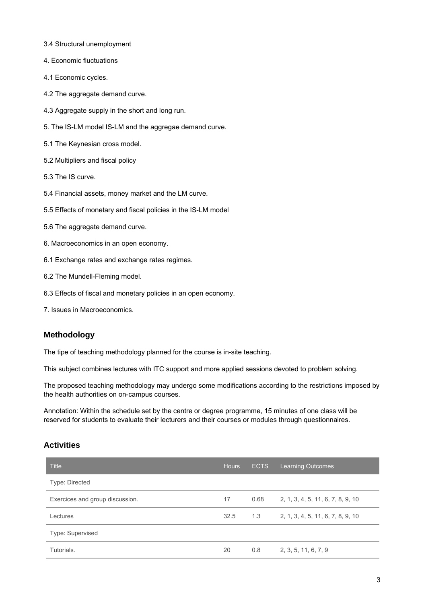- 3.4 Structural unemployment
- 4. Economic fluctuations
- 4.1 Economic cycles.
- 4.2 The aggregate demand curve.
- 4.3 Aggregate supply in the short and long run.
- 5. The IS-LM model IS-LM and the aggregae demand curve.
- 5.1 The Keynesian cross model.
- 5.2 Multipliers and fiscal policy
- 5.3 The IS curve.
- 5.4 Financial assets, money market and the LM curve.
- 5.5 Effects of monetary and fiscal policies in the IS-LM model
- 5.6 The aggregate demand curve.
- 6. Macroeconomics in an open economy.
- 6.1 Exchange rates and exchange rates regimes.
- 6.2 The Mundell-Fleming model.
- 6.3 Effects of fiscal and monetary policies in an open economy.
- 7. Issues in Macroeconomics.

## **Methodology**

The tipe of teaching methodology planned for the course is in-site teaching.

This subject combines lectures with ITC support and more applied sessions devoted to problem solving.

The proposed teaching methodology may undergo some modifications according to the restrictions imposed by the health authorities on on-campus courses.

Annotation: Within the schedule set by the centre or degree programme, 15 minutes of one class will be reserved for students to evaluate their lecturers and their courses or modules through questionnaires.

## **Activities**

| <b>Title</b>                    | <b>Hours</b> | <b>ECTS</b> | <b>Learning Outcomes</b>          |
|---------------------------------|--------------|-------------|-----------------------------------|
| Type: Directed                  |              |             |                                   |
| Exercices and group discussion. | 17           | 0.68        | 2, 1, 3, 4, 5, 11, 6, 7, 8, 9, 10 |
| Lectures                        | 32.5         | 1.3         | 2, 1, 3, 4, 5, 11, 6, 7, 8, 9, 10 |
| Type: Supervised                |              |             |                                   |
| Tutorials.                      | 20           | 0.8         | 2, 3, 5, 11, 6, 7, 9              |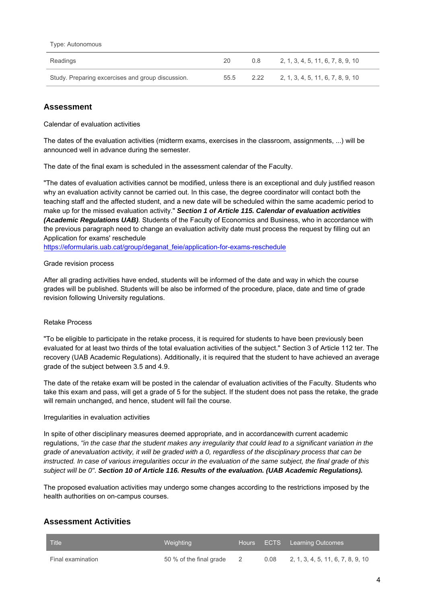#### Type: Autonomous

| Readings                                          | 20   | 0.8  | 2, 1, 3, 4, 5, 11, 6, 7, 8, 9, 10 |
|---------------------------------------------------|------|------|-----------------------------------|
| Study. Preparing excercises and group discussion. | 55.5 | 2.22 | 2, 1, 3, 4, 5, 11, 6, 7, 8, 9, 10 |

## **Assessment**

Calendar of evaluation activities

The dates of the evaluation activities (midterm exams, exercises in the classroom, assignments, ...) will be announced well in advance during the semester.

The date of the final exam is scheduled in the assessment calendar of the Faculty.

"The dates of evaluation activities cannot be modified, unless there is an exceptional and duly justified reason why an evaluation activity cannot be carried out. In this case, the degree coordinator will contact both the teaching staff and the affected student, and a new date will be scheduled within the same academic period to make up for the missed evaluation activity." **Section 1 of Article 115. Calendar of evaluation activities (Academic Regulations UAB)**. Students of the Faculty of Economics and Business, who in accordance with the previous paragraph need to change an evaluation activity date must process the request by filling out an Application for exams' reschedule

[https://eformularis.uab.cat/group/deganat\\_feie/application-for-exams-reschedule](https://eformularis.uab.cat/group/deganat_feie/application-for-exams-reschedule)

### Grade revision process

After all grading activities have ended, students will be informed of the date and way in which the course grades will be published. Students will be also be informed of the procedure, place, date and time of grade revision following University regulations.

## Retake Process

"To be eligible to participate in the retake process, it is required for students to have been previously been evaluated for at least two thirds of the total evaluation activities of the subject." Section 3 of Article 112 ter. The recovery (UAB Academic Regulations). Additionally, it is required that the student to have achieved an average grade of the subject between 3.5 and 4.9.

The date of the retake exam will be posted in the calendar of evaluation activities of the Faculty. Students who take this exam and pass, will get a grade of 5 for the subject. If the student does not pass the retake, the grade will remain unchanged, and hence, student will fail the course.

### Irregularities in evaluation activities

In spite of other disciplinary measures deemed appropriate, and in accordancewith current academic regulations, "in the case that the student makes any irregularity that could lead to a significant variation in the grade of anevaluation activity, it will be graded with a 0, regardless of the disciplinary process that can be instructed. In case of various irregularities occur in the evaluation of the same subject, the final grade of this subject will be 0". **Section 10 of Article 116. Results of the evaluation. (UAB Academic Regulations).**

The proposed evaluation activities may undergo some changes according to the restrictions imposed by the health authorities on on-campus courses.

## **Assessment Activities**

| <b>Title</b>      | Weighting               |      | Hours ECTS Learning Outcomes      |
|-------------------|-------------------------|------|-----------------------------------|
| Final examination | 50 % of the final grade | 0.08 | 2, 1, 3, 4, 5, 11, 6, 7, 8, 9, 10 |